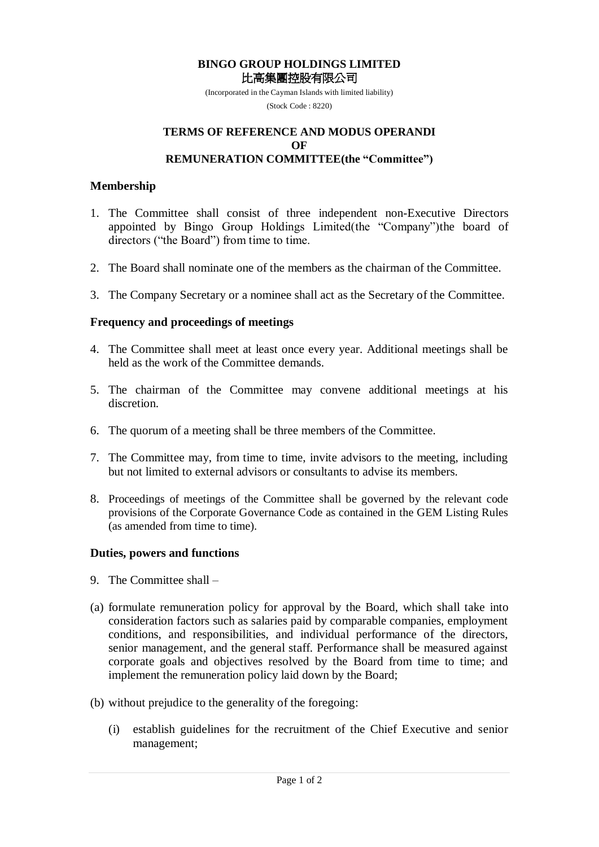#### **BINGO GROUP HOLDINGS LIMITED** 比高集團控股有限公司

(Incorporated in the Cayman Islands with limited liability) (Stock Code : 8220)

#### **TERMS OF REFERENCE AND MODUS OPERANDI OF REMUNERATION COMMITTEE(the "Committee")**

#### **Membership**

- 1. The Committee shall consist of three independent non-Executive Directors appointed by Bingo Group Holdings Limited(the "Company")the board of directors ("the Board") from time to time.
- 2. The Board shall nominate one of the members as the chairman of the Committee.
- 3. The Company Secretary or a nominee shall act as the Secretary of the Committee.

# **Frequency and proceedings of meetings**

- 4. The Committee shall meet at least once every year. Additional meetings shall be held as the work of the Committee demands.
- 5. The chairman of the Committee may convene additional meetings at his discretion.
- 6. The quorum of a meeting shall be three members of the Committee.
- 7. The Committee may, from time to time, invite advisors to the meeting, including but not limited to external advisors or consultants to advise its members.
- 8. Proceedings of meetings of the Committee shall be governed by the relevant code provisions of the Corporate Governance Code as contained in the GEM Listing Rules (as amended from time to time).

# **Duties, powers and functions**

- 9. The Committee shall –
- (a) formulate remuneration policy for approval by the Board, which shall take into consideration factors such as salaries paid by comparable companies, employment conditions, and responsibilities, and individual performance of the directors, senior management, and the general staff. Performance shall be measured against corporate goals and objectives resolved by the Board from time to time; and implement the remuneration policy laid down by the Board;
- (b) without prejudice to the generality of the foregoing:
	- (i) establish guidelines for the recruitment of the Chief Executive and senior management;